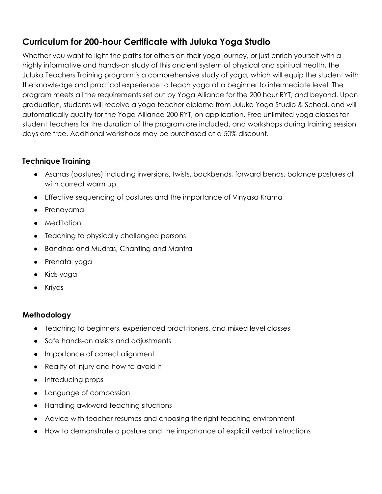# **Curriculum for 200-hour Certificate with Juluka Yoga Studio**

Whether you want to light the paths for others on their yoga journey, or just enrich yourself with a highly informative and hands-on study of this ancient system of physical and spiritual health, the Juluka Teachers Training program is a comprehensive study of yoga, which will equip the student with the knowledge and practical experience to teach yoga at a beginner to intermediate level. The program meets all the requirements set out by Yoga Alliance for the 200 hour RYT, and beyond. Upon graduation, students will receive a yoga teacher diploma from Juluka Yoga Studio & School, and will automatically qualify for the Yoga Alliance 200 RYT, on application. Free unlimited yoga classes for student teachers for the duration of the program are included, and workshops during training session days are free. Additional workshops may be purchased at a 50% discount.

# **Technique Training**

- Asanas (postures) including inversions, twists, backbends, forward bends, balance postures all with correct warm up
- Effective sequencing of postures and the importance of Vinyasa Krama
- Pranayama
- Meditation
- Teaching to physically challenged persons
- Bandhas and Mudras, Chanting and Mantra
- Prenatal yoga
- Kids yoga
- Kriyas

## **Methodology**

- Teaching to beginners, experienced practitioners, and mixed level classes
- Safe hands-on assists and adjustments
- Importance of correct alignment
- Reality of injury and how to avoid it
- Introducing props
- Language of compassion
- Handling awkward teaching situations
- Advice with teacher resumes and choosing the right teaching environment
- How to demonstrate a posture and the importance of explicit verbal instructions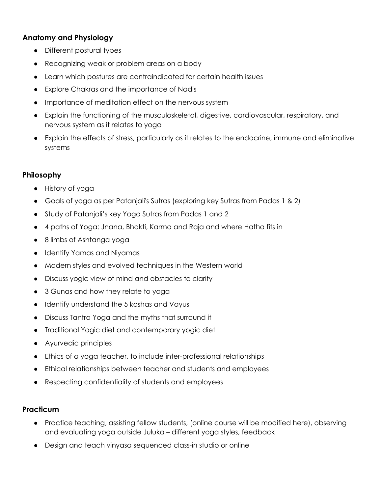### **Anatomy and Physiology**

- Different postural types
- Recognizing weak or problem areas on a body
- Learn which postures are contraindicated for certain health issues
- Explore Chakras and the importance of Nadis
- Importance of meditation effect on the nervous system
- Explain the functioning of the musculoskeletal, digestive, cardiovascular, respiratory, and nervous system as it relates to yoga
- Explain the effects of stress, particularly as it relates to the endocrine, immune and eliminative systems

#### **Philosophy**

- History of yoga
- Goals of yoga as per Patanjali's Sutras (exploring key Sutras from Padas 1 & 2)
- Study of Patanjali's key Yoga Sutras from Padas 1 and 2
- 4 paths of Yoga: Jnana, Bhakti, Karma and Raja and where Hatha fits in
- 8 limbs of Ashtanga yoga
- Identify Yamas and Niyamas
- Modern styles and evolved techniques in the Western world
- Discuss yogic view of mind and obstacles to clarity
- 3 Gunas and how they relate to yoga
- Identify understand the 5 koshas and Vayus
- Discuss Tantra Yoga and the myths that surround it
- Traditional Yogic diet and contemporary yogic diet
- Ayurvedic principles
- Ethics of a yoga teacher, to include inter-professional relationships
- Ethical relationships between teacher and students and employees
- Respecting confidentiality of students and employees

#### **Practicum**

- Practice teaching, assisting fellow students, (online course will be modified here), observing and evaluating yoga outside Juluka – different yoga styles, feedback
- Design and teach vinyasa sequenced class-in studio or online